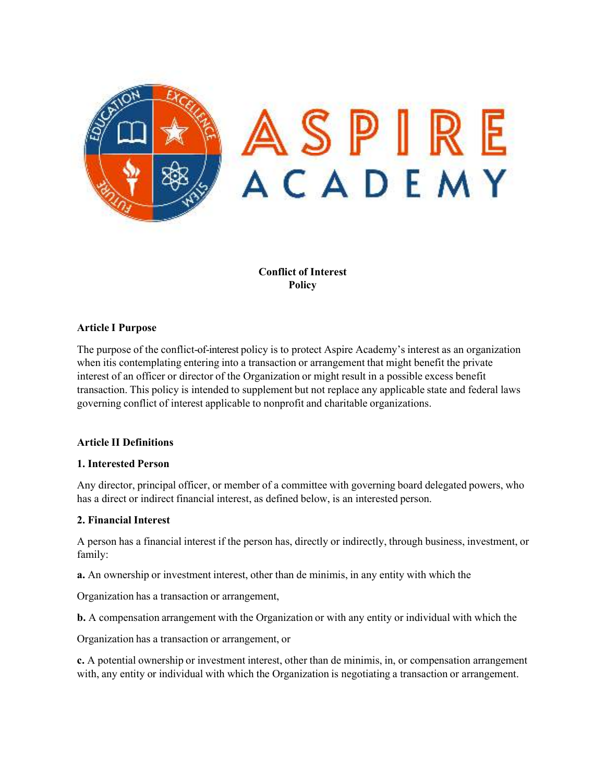

**Conflict of Interest Policy**

### **Article I Purpose**

The purpose of the conflict-of-interest policy is to protect Aspire Academy's interest as an organization when itis contemplating entering into a transaction or arrangement that might benefit the private interest of an officer or director of the Organization or might result in a possible excess benefit transaction. This policy is intended to supplement but not replace any applicable state and federal laws governing conflict of interest applicable to nonprofit and charitable organizations.

#### **Article II Definitions**

#### **1. Interested Person**

Any director, principal officer, or member of a committee with governing board delegated powers, who has a direct or indirect financial interest, as defined below, is an interested person.

#### **2. Financial Interest**

A person has a financial interest if the person has, directly or indirectly, through business, investment, or family:

**a.** An ownership or investment interest, other than de minimis, in any entity with which the

Organization has a transaction or arrangement,

**b.** A compensation arrangement with the Organization or with any entity or individual with which the

Organization has a transaction or arrangement, or

**c.** A potential ownership or investment interest, other than de minimis, in, or compensation arrangement with, any entity or individual with which the Organization is negotiating a transaction or arrangement.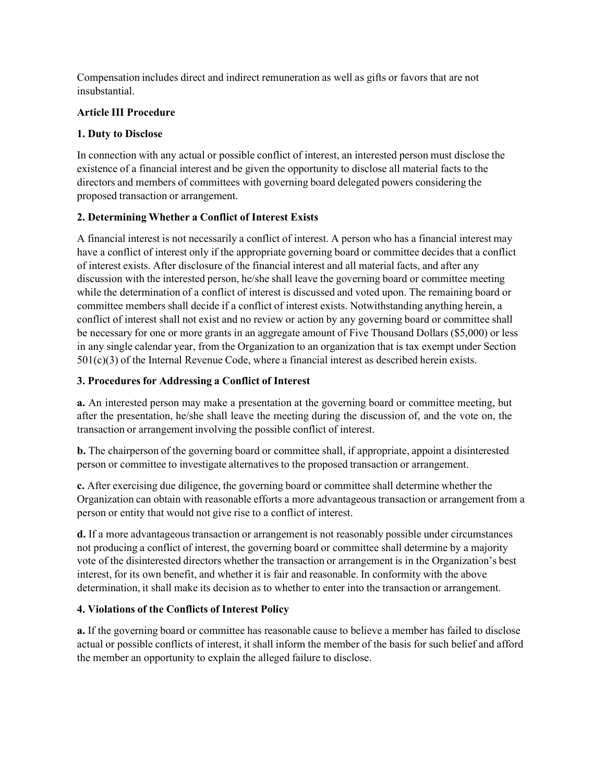Compensation includes direct and indirect remuneration as well as gifts or favors that are not insubstantial.

### **Article III Procedure**

## **1. Duty to Disclose**

In connection with any actual or possible conflict of interest, an interested person must disclose the existence of a financial interest and be given the opportunity to disclose all material facts to the directors and members of committees with governing board delegated powers considering the proposed transaction or arrangement.

# **2. Determining Whether a Conflict of Interest Exists**

A financial interest is not necessarily a conflict of interest. A person who has a financial interest may have a conflict of interest only if the appropriate governing board or committee decides that a conflict of interest exists. After disclosure of the financial interest and all material facts, and after any discussion with the interested person, he/she shall leave the governing board or committee meeting while the determination of a conflict of interest is discussed and voted upon. The remaining board or committee members shall decide if a conflict of interest exists. Notwithstanding anything herein, a conflict of interest shall not exist and no review or action by any governing board or committee shall be necessary for one or more grants in an aggregate amount of Five Thousand Dollars (\$5,000) or less in any single calendar year, from the Organization to an organization that is tax exempt under Section  $501(c)(3)$  of the Internal Revenue Code, where a financial interest as described herein exists.

# **3. Procedures for Addressing a Conflict of Interest**

**a.** An interested person may make a presentation at the governing board or committee meeting, but after the presentation, he/she shall leave the meeting during the discussion of, and the vote on, the transaction or arrangement involving the possible conflict of interest.

**b.** The chairperson of the governing board or committee shall, if appropriate, appoint a disinterested person or committee to investigate alternatives to the proposed transaction or arrangement.

**c.** After exercising due diligence, the governing board or committee shall determine whether the Organization can obtain with reasonable efforts a more advantageous transaction or arrangement from a person or entity that would not give rise to a conflict of interest.

**d.** If a more advantageous transaction or arrangement is not reasonably possible under circumstances not producing a conflict of interest, the governing board or committee shall determine by a majority vote of the disinterested directors whether the transaction or arrangement is in the Organization's best interest, for its own benefit, and whether it is fair and reasonable. In conformity with the above determination, it shall make its decision as to whether to enter into the transaction or arrangement.

# **4. Violations of the Conflicts of Interest Policy**

**a.** If the governing board or committee has reasonable cause to believe a member has failed to disclose actual or possible conflicts of interest, it shall inform the member of the basis for such belief and afford the member an opportunity to explain the alleged failure to disclose.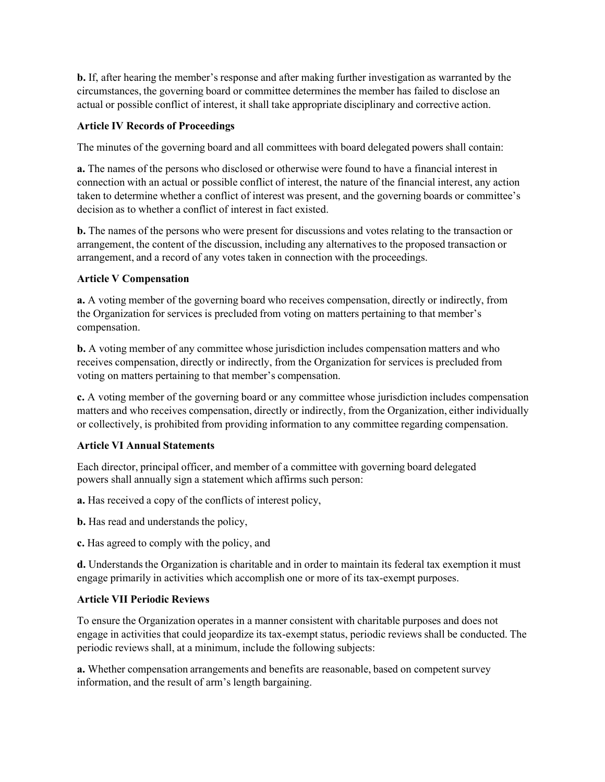**b.** If, after hearing the member's response and after making further investigation as warranted by the circumstances, the governing board or committee determines the member has failed to disclose an actual or possible conflict of interest, it shall take appropriate disciplinary and corrective action.

# **Article IV Records of Proceedings**

The minutes of the governing board and all committees with board delegated powers shall contain:

**a.** The names of the persons who disclosed or otherwise were found to have a financial interest in connection with an actual or possible conflict of interest, the nature of the financial interest, any action taken to determine whether a conflict of interest was present, and the governing boards or committee's decision as to whether a conflict of interest in fact existed.

**b.** The names of the persons who were present for discussions and votes relating to the transaction or arrangement, the content of the discussion, including any alternatives to the proposed transaction or arrangement, and a record of any votes taken in connection with the proceedings.

### **Article V Compensation**

**a.** A voting member of the governing board who receives compensation, directly or indirectly, from the Organization for services is precluded from voting on matters pertaining to that member's compensation.

**b.** A voting member of any committee whose jurisdiction includes compensation matters and who receives compensation, directly or indirectly, from the Organization for services is precluded from voting on matters pertaining to that member's compensation.

**c.** A voting member of the governing board or any committee whose jurisdiction includes compensation matters and who receives compensation, directly or indirectly, from the Organization, either individually or collectively, is prohibited from providing information to any committee regarding compensation.

### **Article VI Annual Statements**

Each director, principal officer, and member of a committee with governing board delegated powers shall annually sign a statement which affirms such person:

**a.** Has received a copy of the conflicts of interest policy,

**b.** Has read and understands the policy,

**c.** Has agreed to comply with the policy, and

**d.** Understands the Organization is charitable and in order to maintain its federal tax exemption it must engage primarily in activities which accomplish one or more of its tax-exempt purposes.

### **Article VII Periodic Reviews**

To ensure the Organization operates in a manner consistent with charitable purposes and does not engage in activities that could jeopardize its tax-exempt status, periodic reviews shall be conducted. The periodic reviews shall, at a minimum, include the following subjects:

**a.** Whether compensation arrangements and benefits are reasonable, based on competent survey information, and the result of arm's length bargaining.